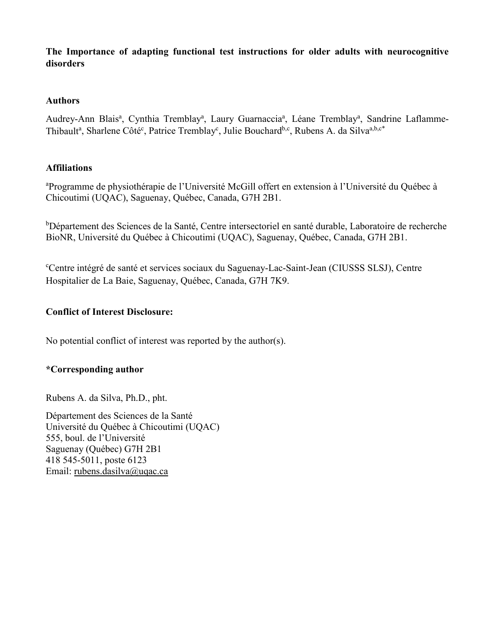**The Importance of adapting functional test instructions for older adults with neurocognitive disorders**

## **Authors**

Audrey-Ann Blais<sup>a</sup>, Cynthia Tremblay<sup>a</sup>, Laury Guarnaccia<sup>a</sup>, Léane Tremblay<sup>a</sup>, Sandrine Laflamme-Thibault<sup>a</sup>, Sharlene Côté<sup>c</sup>, Patrice Tremblay<sup>c</sup>, Julie Bouchard<sup>b,c</sup>, Rubens A. da Silva<sup>a,b,c\*</sup>

# **Affiliations**

<sup>a</sup>Programme de physiothérapie de l'Université McGill offert en extension à l'Université du Québec à Chicoutimi (UQAC), Saguenay, Québec, Canada, G7H 2B1.

<sup>b</sup>Département des Sciences de la Santé, Centre intersectoriel en santé durable, Laboratoire de recherche BioNR, Université du Québec à Chicoutimi (UQAC), Saguenay, Québec, Canada, G7H 2B1.

c Centre intégré de santé et services sociaux du Saguenay-Lac-Saint-Jean (CIUSSS SLSJ), Centre Hospitalier de La Baie, Saguenay, Québec, Canada, G7H 7K9.

# **Conflict of Interest Disclosure:**

No potential conflict of interest was reported by the author(s).

# **\*Corresponding author**

Rubens A. da Silva, Ph.D., pht.

Département des Sciences de la Santé Université du Québec à Chicoutimi (UQAC) 555, boul. de l'Université Saguenay (Québec) G7H 2B1 418 545-5011, poste 6123 Email: [rubens.dasilva@uqac.ca](mailto:rubens.dasilva@uqac.ca)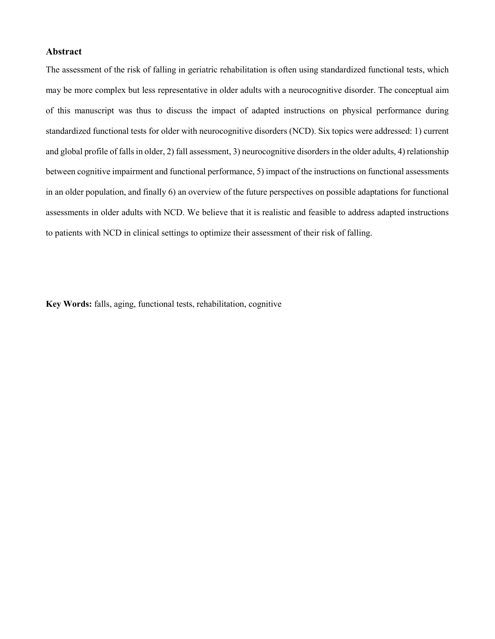### **Abstract**

The assessment of the risk of falling in geriatric rehabilitation is often using standardized functional tests, which may be more complex but less representative in older adults with a neurocognitive disorder. The conceptual aim of this manuscript was thus to discuss the impact of adapted instructions on physical performance during standardized functional tests for older with neurocognitive disorders (NCD). Six topics were addressed: 1) current and global profile of falls in older, 2) fall assessment, 3) neurocognitive disorders in the older adults, 4) relationship between cognitive impairment and functional performance, 5) impact of the instructions on functional assessments in an older population, and finally 6) an overview of the future perspectives on possible adaptations for functional assessments in older adults with NCD. We believe that it is realistic and feasible to address adapted instructions to patients with NCD in clinical settings to optimize their assessment of their risk of falling.

**Key Words:** falls, aging, functional tests, rehabilitation, cognitive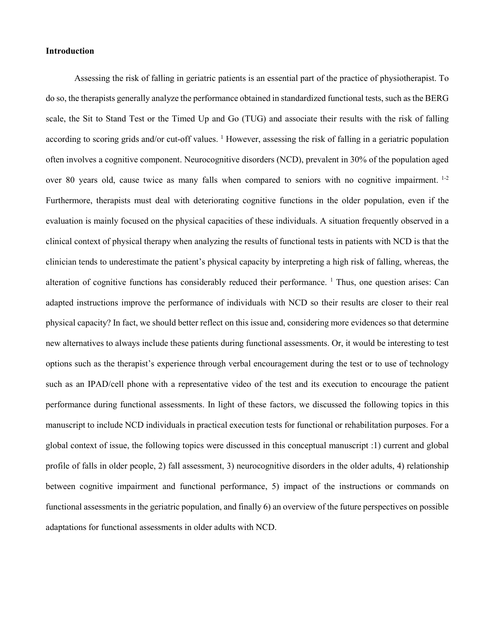#### **Introduction**

Assessing the risk of falling in geriatric patients is an essential part of the practice of physiotherapist. To do so, the therapists generally analyze the performance obtained in standardized functional tests, such as the BERG scale, the Sit to Stand Test or the Timed Up and Go (TUG) and associate their results with the risk of falling according to scoring grids and/or cut-off values.  $1$  However, assessing the risk of falling in a geriatric population often involves a cognitive component. Neurocognitive disorders (NCD), prevalent in 30% of the population aged over 80 years old, cause twice as many falls when compared to seniors with no cognitive impairment. <sup>1-2</sup> Furthermore, therapists must deal with deteriorating cognitive functions in the older population, even if the evaluation is mainly focused on the physical capacities of these individuals. A situation frequently observed in a clinical context of physical therapy when analyzing the results of functional tests in patients with NCD is that the clinician tends to underestimate the patient's physical capacity by interpreting a high risk of falling, whereas, the alteration of cognitive functions has considerably reduced their performance. <sup>1</sup> Thus, one question arises: Can adapted instructions improve the performance of individuals with NCD so their results are closer to their real physical capacity? In fact, we should better reflect on this issue and, considering more evidences so that determine new alternatives to always include these patients during functional assessments. Or, it would be interesting to test options such as the therapist's experience through verbal encouragement during the test or to use of technology such as an IPAD/cell phone with a representative video of the test and its execution to encourage the patient performance during functional assessments. In light of these factors, we discussed the following topics in this manuscript to include NCD individuals in practical execution tests for functional or rehabilitation purposes. For a global context of issue, the following topics were discussed in this conceptual manuscript :1) current and global profile of falls in older people, 2) fall assessment, 3) neurocognitive disorders in the older adults, 4) relationship between cognitive impairment and functional performance, 5) impact of the instructions or commands on functional assessments in the geriatric population, and finally 6) an overview of the future perspectives on possible adaptations for functional assessments in older adults with NCD.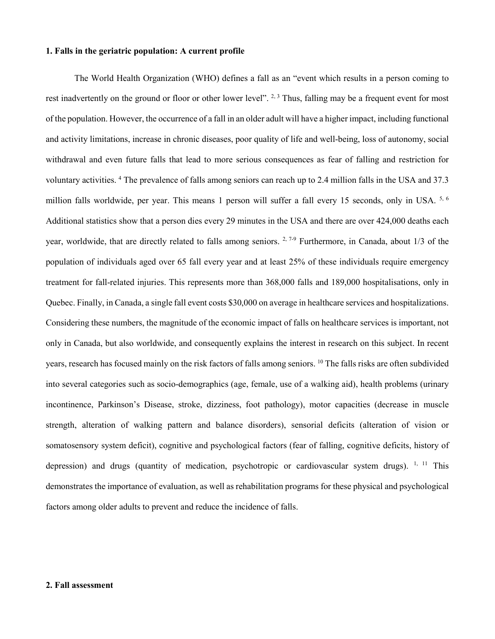#### **1. Falls in the geriatric population: A current profile**

The World Health Organization (WHO) defines a fall as an "event which results in a person coming to rest inadvertently on the ground or floor or other lower level". <sup>2, 3</sup> Thus, falling may be a frequent event for most of the population. However, the occurrence of a fall in an older adult will have a higher impact, including functional and activity limitations, increase in chronic diseases, poor quality of life and well-being, loss of autonomy, social withdrawal and even future falls that lead to more serious consequences as fear of falling and restriction for voluntary activities. <sup>4</sup> The prevalence of falls among seniors can reach up to 2.4 million falls in the USA and 37.3 million falls worldwide, per year. This means 1 person will suffer a fall every 15 seconds, only in USA. 5, 6 Additional statistics show that a person dies every 29 minutes in the USA and there are over 424,000 deaths each year, worldwide, that are directly related to falls among seniors. <sup>2, 7-9</sup> Furthermore, in Canada, about 1/3 of the population of individuals aged over 65 fall every year and at least 25% of these individuals require emergency treatment for fall-related injuries. This represents more than 368,000 falls and 189,000 hospitalisations, only in Quebec. Finally, in Canada, a single fall event costs \$30,000 on average in healthcare services and hospitalizations. Considering these numbers, the magnitude of the economic impact of falls on healthcare services is important, not only in Canada, but also worldwide, and consequently explains the interest in research on this subject. In recent years, research has focused mainly on the risk factors of falls among seniors. 10 The falls risks are often subdivided into several categories such as socio-demographics (age, female, use of a walking aid), health problems (urinary incontinence, Parkinson's Disease, stroke, dizziness, foot pathology), motor capacities (decrease in muscle strength, alteration of walking pattern and balance disorders), sensorial deficits (alteration of vision or somatosensory system deficit), cognitive and psychological factors (fear of falling, cognitive deficits, history of depression) and drugs (quantity of medication, psychotropic or cardiovascular system drugs).  $1, 11$  This demonstrates the importance of evaluation, as well as rehabilitation programs for these physical and psychological factors among older adults to prevent and reduce the incidence of falls.

#### **2. Fall assessment**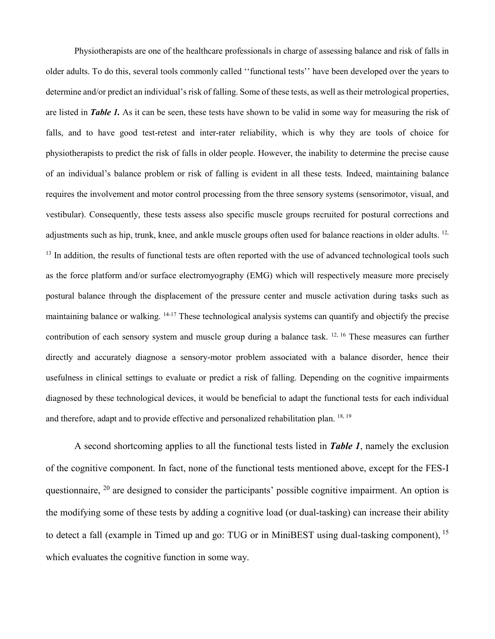Physiotherapists are one of the healthcare professionals in charge of assessing balance and risk of falls in older adults. To do this, several tools commonly called ''functional tests'' have been developed over the years to determine and/or predict an individual's risk of falling. Some of these tests, as well as their metrological properties, are listed in *Table 1.* As it can be seen, these tests have shown to be valid in some way for measuring the risk of falls, and to have good test-retest and inter-rater reliability, which is why they are tools of choice for physiotherapists to predict the risk of falls in older people. However, the inability to determine the precise cause of an individual's balance problem or risk of falling is evident in all these tests. Indeed, maintaining balance requires the involvement and motor control processing from the three sensory systems (sensorimotor, visual, and vestibular). Consequently, these tests assess also specific muscle groups recruited for postural corrections and adjustments such as hip, trunk, knee, and ankle muscle groups often used for balance reactions in older adults.  $12$ ,  $<sup>13</sup>$  In addition, the results of functional tests are often reported with the use of advanced technological tools such</sup> as the force platform and/or surface electromyography (EMG) which will respectively measure more precisely postural balance through the displacement of the pressure center and muscle activation during tasks such as maintaining balance or walking. <sup>14-17</sup> These technological analysis systems can quantify and objectify the precise contribution of each sensory system and muscle group during a balance task. 12, 16 These measures can further directly and accurately diagnose a sensory-motor problem associated with a balance disorder, hence their usefulness in clinical settings to evaluate or predict a risk of falling. Depending on the cognitive impairments diagnosed by these technological devices, it would be beneficial to adapt the functional tests for each individual and therefore, adapt and to provide effective and personalized rehabilitation plan.  $18, 19$ 

A second shortcoming applies to all the functional tests listed in *Table 1*, namely the exclusion of the cognitive component. In fact, none of the functional tests mentioned above, except for the FES-I questionnaire,  $20$  are designed to consider the participants' possible cognitive impairment. An option is the modifying some of these tests by adding a cognitive load (or dual-tasking) can increase their ability to detect a fall (example in Timed up and go: TUG or in MiniBEST using dual-tasking component), <sup>15</sup> which evaluates the cognitive function in some way.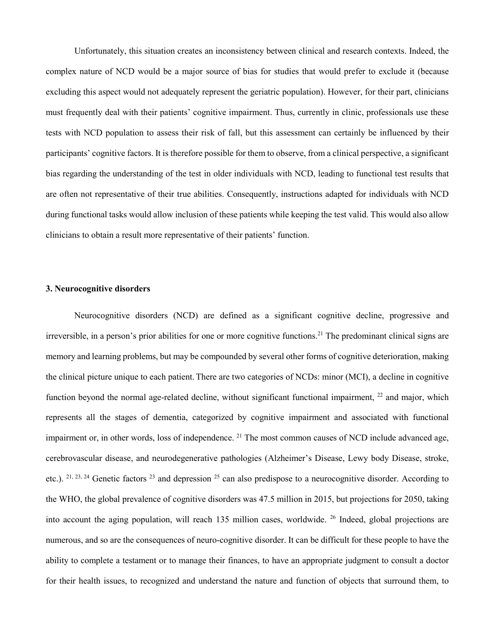Unfortunately, this situation creates an inconsistency between clinical and research contexts. Indeed, the complex nature of NCD would be a major source of bias for studies that would prefer to exclude it (because excluding this aspect would not adequately represent the geriatric population). However, for their part, clinicians must frequently deal with their patients' cognitive impairment. Thus, currently in clinic, professionals use these tests with NCD population to assess their risk of fall, but this assessment can certainly be influenced by their participants' cognitive factors. It is therefore possible for them to observe, from a clinical perspective, a significant bias regarding the understanding of the test in older individuals with NCD, leading to functional test results that are often not representative of their true abilities. Consequently, instructions adapted for individuals with NCD during functional tasks would allow inclusion of these patients while keeping the test valid. This would also allow clinicians to obtain a result more representative of their patients' function.

### **3. Neurocognitive disorders**

Neurocognitive disorders (NCD) are defined as a significant cognitive decline, progressive and irreversible, in a person's prior abilities for one or more cognitive functions. <sup>21</sup> The predominant clinical signs are memory and learning problems, but may be compounded by several other forms of cognitive deterioration, making the clinical picture unique to each patient.There are two categories of NCDs: minor (MCI), a decline in cognitive function beyond the normal age-related decline, without significant functional impairment, <sup>22</sup> and major, which represents all the stages of dementia, categorized by cognitive impairment and associated with functional impairment or, in other words, loss of independence. <sup>21</sup> The most common causes of NCD include advanced age, cerebrovascular disease, and neurodegenerative pathologies (Alzheimer's Disease, Lewy body Disease, stroke, etc.). <sup>21, 23, 24</sup> Genetic factors <sup>23</sup> and depression <sup>25</sup> can also predispose to a neurocognitive disorder. According to the WHO, the global prevalence of cognitive disorders was 47.5 million in 2015, but projections for 2050, taking into account the aging population, will reach 135 million cases, worldwide. <sup>26</sup> Indeed, global projections are numerous, and so are the consequences of neuro-cognitive disorder. It can be difficult for these people to have the ability to complete a testament or to manage their finances, to have an appropriate judgment to consult a doctor for their health issues, to recognized and understand the nature and function of objects that surround them, to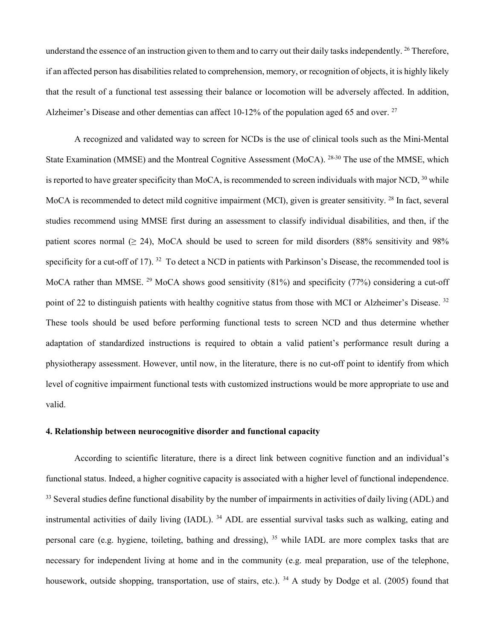understand the essence of an instruction given to them and to carry out their daily tasks independently. <sup>26</sup> Therefore, if an affected person has disabilities related to comprehension, memory, or recognition of objects, it is highly likely that the result of a functional test assessing their balance or locomotion will be adversely affected. In addition, Alzheimer's Disease and other dementias can affect 10-12% of the population aged 65 and over. <sup>27</sup>

A recognized and validated way to screen for NCDs is the use of clinical tools such as the Mini-Mental State Examination (MMSE) and the Montreal Cognitive Assessment (MoCA). 28-30 The use of the MMSE, which is reported to have greater specificity than MoCA, is recommended to screen individuals with major NCD,  $30$  while MoCA is recommended to detect mild cognitive impairment (MCI), given is greater sensitivity. <sup>28</sup> In fact, several studies recommend using MMSE first during an assessment to classify individual disabilities, and then, if the patient scores normal ( $\geq$  24), MoCA should be used to screen for mild disorders (88% sensitivity and 98% specificity for a cut-off of 17). <sup>32</sup> To detect a NCD in patients with Parkinson's Disease, the recommended tool is MoCA rather than MMSE. <sup>29</sup> MoCA shows good sensitivity (81%) and specificity (77%) considering a cut-off point of 22 to distinguish patients with healthy cognitive status from those with MCI or Alzheimer's Disease. <sup>32</sup> These tools should be used before performing functional tests to screen NCD and thus determine whether adaptation of standardized instructions is required to obtain a valid patient's performance result during a physiotherapy assessment. However, until now, in the literature, there is no cut-off point to identify from which level of cognitive impairment functional tests with customized instructions would be more appropriate to use and valid.

#### **4. Relationship between neurocognitive disorder and functional capacity**

According to scientific literature, there is a direct link between cognitive function and an individual's functional status. Indeed, a higher cognitive capacity is associated with a higher level of functional independence. <sup>33</sup> Several studies define functional disability by the number of impairments in activities of daily living (ADL) and instrumental activities of daily living (IADL). <sup>34</sup> ADL are essential survival tasks such as walking, eating and personal care (e.g. hygiene, toileting, bathing and dressing), <sup>35</sup> while IADL are more complex tasks that are necessary for independent living at home and in the community (e.g. meal preparation, use of the telephone, housework, outside shopping, transportation, use of stairs, etc.). <sup>34</sup> A study by Dodge et al. (2005) found that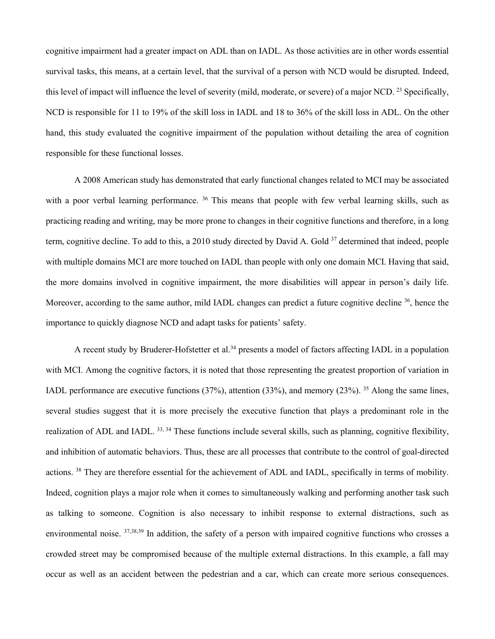cognitive impairment had a greater impact on ADL than on IADL. As those activities are in other words essential survival tasks, this means, at a certain level, that the survival of a person with NCD would be disrupted. Indeed, this level of impact will influence the level of severity (mild, moderate, or severe) of a major NCD. 23 Specifically, NCD is responsible for 11 to 19% of the skill loss in IADL and 18 to 36% of the skill loss in ADL. On the other hand, this study evaluated the cognitive impairment of the population without detailing the area of cognition responsible for these functional losses.

A 2008 American study has demonstrated that early functional changes related to MCI may be associated with a poor verbal learning performance. <sup>36</sup> This means that people with few verbal learning skills, such as practicing reading and writing, may be more prone to changes in their cognitive functions and therefore, in a long term, cognitive decline. To add to this, a 2010 study directed by David A. Gold <sup>37</sup> determined that indeed, people with multiple domains MCI are more touched on IADL than people with only one domain MCI. Having that said, the more domains involved in cognitive impairment, the more disabilities will appear in person's daily life. Moreover, according to the same author, mild IADL changes can predict a future cognitive decline <sup>36</sup>, hence the importance to quickly diagnose NCD and adapt tasks for patients' safety.

A recent study by Bruderer-Hofstetter et al.<sup>34</sup> presents a model of factors affecting IADL in a population with MCI. Among the cognitive factors, it is noted that those representing the greatest proportion of variation in IADL performance are executive functions (37%), attention (33%), and memory (23%). <sup>35</sup> Along the same lines, several studies suggest that it is more precisely the executive function that plays a predominant role in the realization of ADL and IADL. 33, 34 These functions include several skills, such as planning, cognitive flexibility, and inhibition of automatic behaviors. Thus, these are all processes that contribute to the control of goal-directed actions. <sup>38</sup> They are therefore essential for the achievement of ADL and IADL, specifically in terms of mobility. Indeed, cognition plays a major role when it comes to simultaneously walking and performing another task such as talking to someone. Cognition is also necessary to inhibit response to external distractions, such as environmental noise. 37,38,39 In addition, the safety of a person with impaired cognitive functions who crosses a crowded street may be compromised because of the multiple external distractions. In this example, a fall may occur as well as an accident between the pedestrian and a car, which can create more serious consequences.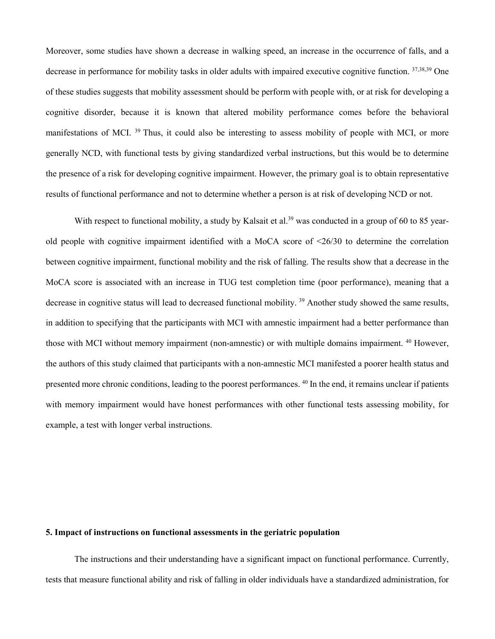Moreover, some studies have shown a decrease in walking speed, an increase in the occurrence of falls, and a decrease in performance for mobility tasks in older adults with impaired executive cognitive function. 37,38,39 One of these studies suggests that mobility assessment should be perform with people with, or at risk for developing a cognitive disorder, because it is known that altered mobility performance comes before the behavioral manifestations of MCI.<sup>39</sup> Thus, it could also be interesting to assess mobility of people with MCI, or more generally NCD, with functional tests by giving standardized verbal instructions, but this would be to determine the presence of a risk for developing cognitive impairment. However, the primary goal is to obtain representative results of functional performance and not to determine whether a person is at risk of developing NCD or not.

With respect to functional mobility, a study by Kalsait et al.<sup>39</sup> was conducted in a group of 60 to 85 yearold people with cognitive impairment identified with a MoCA score of <26/30 to determine the correlation between cognitive impairment, functional mobility and the risk of falling. The results show that a decrease in the MoCA score is associated with an increase in TUG test completion time (poor performance), meaning that a decrease in cognitive status will lead to decreased functional mobility. <sup>39</sup> Another study showed the same results, in addition to specifying that the participants with MCI with amnestic impairment had a better performance than those with MCI without memory impairment (non-amnestic) or with multiple domains impairment. <sup>40</sup> However, the authors of this study claimed that participants with a non-amnestic MCI manifested a poorer health status and presented more chronic conditions, leading to the poorest performances. <sup>40</sup> In the end, it remains unclear if patients with memory impairment would have honest performances with other functional tests assessing mobility, for example, a test with longer verbal instructions.

### **5. Impact of instructions on functional assessments in the geriatric population**

The instructions and their understanding have a significant impact on functional performance. Currently, tests that measure functional ability and risk of falling in older individuals have a standardized administration, for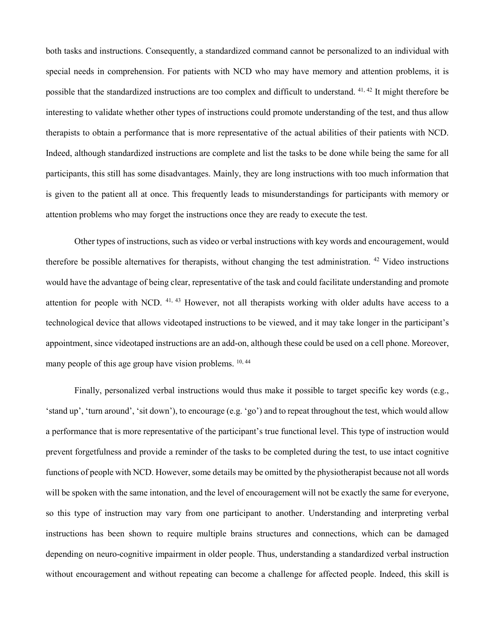both tasks and instructions. Consequently, a standardized command cannot be personalized to an individual with special needs in comprehension. For patients with NCD who may have memory and attention problems, it is possible that the standardized instructions are too complex and difficult to understand. 41, 42 It might therefore be interesting to validate whether other types of instructions could promote understanding of the test, and thus allow therapists to obtain a performance that is more representative of the actual abilities of their patients with NCD. Indeed, although standardized instructions are complete and list the tasks to be done while being the same for all participants, this still has some disadvantages. Mainly, they are long instructions with too much information that is given to the patient all at once. This frequently leads to misunderstandings for participants with memory or attention problems who may forget the instructions once they are ready to execute the test.

Other types of instructions, such as video or verbal instructions with key words and encouragement, would therefore be possible alternatives for therapists, without changing the test administration. <sup>42</sup> Video instructions would have the advantage of being clear, representative of the task and could facilitate understanding and promote attention for people with NCD. <sup>41, 43</sup> However, not all therapists working with older adults have access to a technological device that allows videotaped instructions to be viewed, and it may take longer in the participant's appointment, since videotaped instructions are an add-on, although these could be used on a cell phone. Moreover, many people of this age group have vision problems. <sup>10, 44</sup>

Finally, personalized verbal instructions would thus make it possible to target specific key words (e.g., 'stand up', 'turn around', 'sit down'), to encourage (e.g. 'go') and to repeat throughout the test, which would allow a performance that is more representative of the participant's true functional level. This type of instruction would prevent forgetfulness and provide a reminder of the tasks to be completed during the test, to use intact cognitive functions of people with NCD. However, some details may be omitted by the physiotherapist because not all words will be spoken with the same intonation, and the level of encouragement will not be exactly the same for everyone, so this type of instruction may vary from one participant to another. Understanding and interpreting verbal instructions has been shown to require multiple brains structures and connections, which can be damaged depending on neuro-cognitive impairment in older people. Thus, understanding a standardized verbal instruction without encouragement and without repeating can become a challenge for affected people. Indeed, this skill is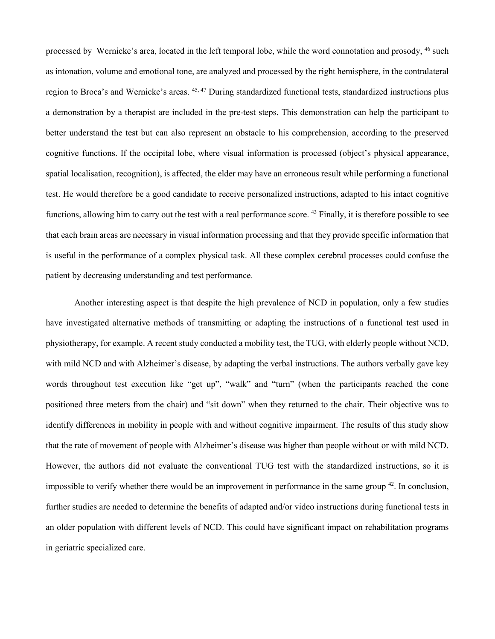processed by Wernicke's area, located in the left temporal lobe, while the word connotation and prosody, <sup>46</sup> such as intonation, volume and emotional tone, are analyzed and processed by the right hemisphere, in the contralateral region to Broca's and Wernicke's areas. 45, 47 During standardized functional tests, standardized instructions plus a demonstration by a therapist are included in the pre-test steps. This demonstration can help the participant to better understand the test but can also represent an obstacle to his comprehension, according to the preserved cognitive functions. If the occipital lobe, where visual information is processed (object's physical appearance, spatial localisation, recognition), is affected, the elder may have an erroneous result while performing a functional test. He would therefore be a good candidate to receive personalized instructions, adapted to his intact cognitive functions, allowing him to carry out the test with a real performance score. <sup>43</sup> Finally, it is therefore possible to see that each brain areas are necessary in visual information processing and that they provide specific information that is useful in the performance of a complex physical task. All these complex cerebral processes could confuse the patient by decreasing understanding and test performance.

Another interesting aspect is that despite the high prevalence of NCD in population, only a few studies have investigated alternative methods of transmitting or adapting the instructions of a functional test used in physiotherapy, for example. A recent study conducted a mobility test, the TUG, with elderly people without NCD, with mild NCD and with Alzheimer's disease, by adapting the verbal instructions. The authors verbally gave key words throughout test execution like "get up", "walk" and "turn" (when the participants reached the cone positioned three meters from the chair) and "sit down" when they returned to the chair. Their objective was to identify differences in mobility in people with and without cognitive impairment. The results of this study show that the rate of movement of people with Alzheimer's disease was higher than people without or with mild NCD. However, the authors did not evaluate the conventional TUG test with the standardized instructions, so it is impossible to verify whether there would be an improvement in performance in the same group  $42$ . In conclusion, further studies are needed to determine the benefits of adapted and/or video instructions during functional tests in an older population with different levels of NCD. This could have significant impact on rehabilitation programs in geriatric specialized care.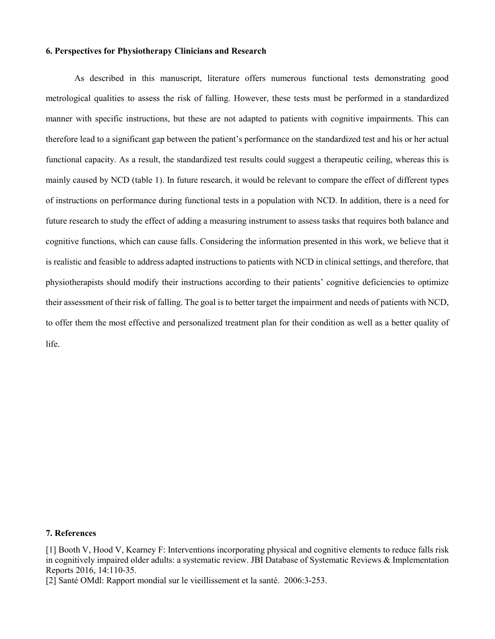#### **6. Perspectives for Physiotherapy Clinicians and Research**

As described in this manuscript, literature offers numerous functional tests demonstrating good metrological qualities to assess the risk of falling. However, these tests must be performed in a standardized manner with specific instructions, but these are not adapted to patients with cognitive impairments. This can therefore lead to a significant gap between the patient's performance on the standardized test and his or her actual functional capacity. As a result, the standardized test results could suggest a therapeutic ceiling, whereas this is mainly caused by NCD (table 1). In future research, it would be relevant to compare the effect of different types of instructions on performance during functional tests in a population with NCD. In addition, there is a need for future research to study the effect of adding a measuring instrument to assess tasks that requires both balance and cognitive functions, which can cause falls. Considering the information presented in this work, we believe that it is realistic and feasible to address adapted instructions to patients with NCD in clinical settings, and therefore, that physiotherapists should modify their instructions according to their patients' cognitive deficiencies to optimize their assessment of their risk of falling. The goal is to better target the impairment and needs of patients with NCD, to offer them the most effective and personalized treatment plan for their condition as well as a better quality of life.

### **7. References**

[1] Booth V, Hood V, Kearney F: Interventions incorporating physical and cognitive elements to reduce falls risk in cognitively impaired older adults: a systematic review. JBI Database of Systematic Reviews & Implementation Reports 2016, 14:110-35.

[2] Santé OMdl: Rapport mondial sur le vieillissement et la santé. 2006:3-253.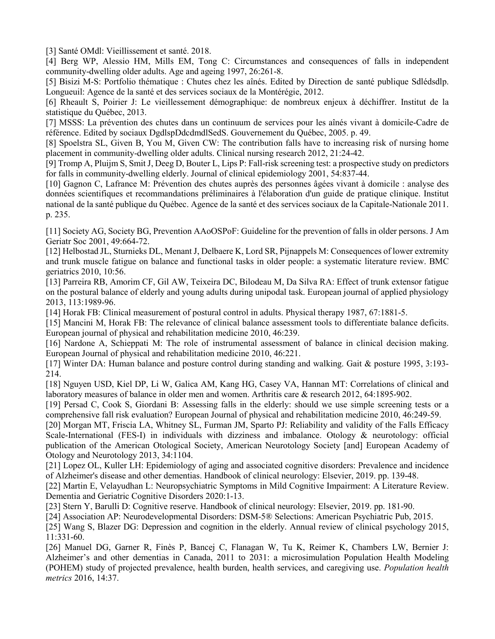[3] Santé OMdl: Vieillissement et santé. 2018.

[4] Berg WP, Alessio HM, Mills EM, Tong C: Circumstances and consequences of falls in independent community-dwelling older adults. Age and ageing 1997, 26:261-8.

[5] Bisizi M-S: Portfolio thématique : Chutes chez les aînés. Edited by Direction de santé publique Sdlédsdlp. Longueuil: Agence de la santé et des services sociaux de la Montérégie, 2012.

[6] Rheault S, Poirier J: Le vieillessement démographique: de nombreux enjeux à déchiffrer. Institut de la statistique du Québec, 2013.

[7] MSSS: La prévention des chutes dans un continuum de services pour les aînés vivant à domicile-Cadre de référence. Edited by sociaux DgdlspDdcdmdlSedS. Gouvernement du Québec, 2005. p. 49.

[8] Spoelstra SL, Given B, You M, Given CW: The contribution falls have to increasing risk of nursing home placement in community-dwelling older adults. Clinical nursing research 2012, 21:24-42.

[9] Tromp A, Pluijm S, Smit J, Deeg D, Bouter L, Lips P: Fall-risk screening test: a prospective study on predictors for falls in community-dwelling elderly. Journal of clinical epidemiology 2001, 54:837-44.

[10] Gagnon C, Lafrance M: Prévention des chutes auprès des personnes âgées vivant à domicile : analyse des données scientifiques et recommandations préliminaires à l'élaboration d'un guide de pratique clinique. Institut national de la santé publique du Québec. Agence de la santé et des services sociaux de la Capitale-Nationale 2011. p. 235.

[11] Society AG, Society BG, Prevention AAoOSPoF: Guideline for the prevention of falls in older persons. J Am Geriatr Soc 2001, 49:664-72.

[12] Helbostad JL, Sturnieks DL, Menant J, Delbaere K, Lord SR, Pijnappels M: Consequences of lower extremity and trunk muscle fatigue on balance and functional tasks in older people: a systematic literature review. BMC geriatrics 2010, 10:56.

[13] Parreira RB, Amorim CF, Gil AW, Teixeira DC, Bilodeau M, Da Silva RA: Effect of trunk extensor fatigue on the postural balance of elderly and young adults during unipodal task. European journal of applied physiology 2013, 113:1989-96.

[14] Horak FB: Clinical measurement of postural control in adults. Physical therapy 1987, 67:1881-5.

[15] Mancini M, Horak FB: The relevance of clinical balance assessment tools to differentiate balance deficits. European journal of physical and rehabilitation medicine 2010, 46:239.

[16] Nardone A, Schieppati M: The role of instrumental assessment of balance in clinical decision making. European Journal of physical and rehabilitation medicine 2010, 46:221.

[17] Winter DA: Human balance and posture control during standing and walking. Gait & posture 1995, 3:193- 214.

[18] Nguyen USD, Kiel DP, Li W, Galica AM, Kang HG, Casey VA, Hannan MT: Correlations of clinical and laboratory measures of balance in older men and women. Arthritis care & research 2012, 64:1895-902.

[19] Persad C, Cook S, Giordani B: Assessing falls in the elderly: should we use simple screening tests or a comprehensive fall risk evaluation? European Journal of physical and rehabilitation medicine 2010, 46:249-59.

[20] Morgan MT, Friscia LA, Whitney SL, Furman JM, Sparto PJ: Reliability and validity of the Falls Efficacy Scale-International (FES-I) in individuals with dizziness and imbalance. Otology & neurotology: official publication of the American Otological Society, American Neurotology Society [and] European Academy of Otology and Neurotology 2013, 34:1104.

[21] Lopez OL, Kuller LH: Epidemiology of aging and associated cognitive disorders: Prevalence and incidence of Alzheimer's disease and other dementias. Handbook of clinical neurology: Elsevier, 2019. pp. 139-48.

[22] Martin E, Velayudhan L: Neuropsychiatric Symptoms in Mild Cognitive Impairment: A Literature Review. Dementia and Geriatric Cognitive Disorders 2020:1-13.

[23] Stern Y, Barulli D: Cognitive reserve. Handbook of clinical neurology: Elsevier, 2019. pp. 181-90.

[24] Association AP: Neurodevelopmental Disorders: DSM-5® Selections: American Psychiatric Pub, 2015.

[25] Wang S, Blazer DG: Depression and cognition in the elderly. Annual review of clinical psychology 2015, 11:331-60.

[26] Manuel DG, Garner R, Finès P, Bancej C, Flanagan W, Tu K, Reimer K, Chambers LW, Bernier J: Alzheimer's and other dementias in Canada, 2011 to 2031: a microsimulation Population Health Modeling (POHEM) study of projected prevalence, health burden, health services, and caregiving use. *Population health metrics* 2016, 14:37.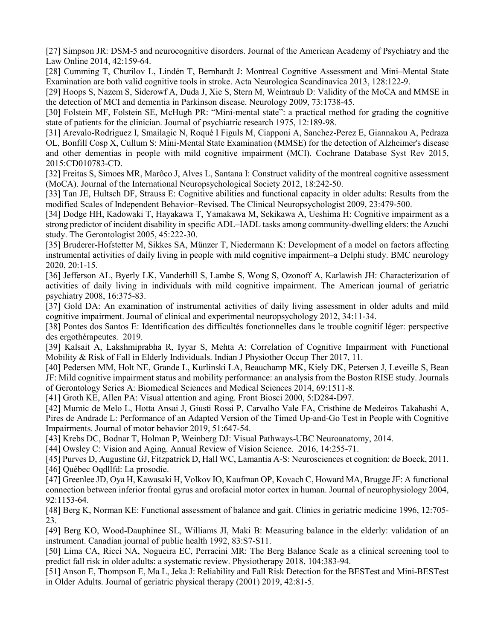[27] Simpson JR: DSM-5 and neurocognitive disorders. Journal of the American Academy of Psychiatry and the Law Online 2014, 42:159-64.

[28] Cumming T, Churilov L, Lindén T, Bernhardt J: Montreal Cognitive Assessment and Mini–Mental State Examination are both valid cognitive tools in stroke. Acta Neurologica Scandinavica 2013, 128:122-9.

[29] Hoops S, Nazem S, Siderowf A, Duda J, Xie S, Stern M, Weintraub D: Validity of the MoCA and MMSE in the detection of MCI and dementia in Parkinson disease. Neurology 2009, 73:1738-45.

[30] Folstein MF, Folstein SE, McHugh PR: "Mini-mental state": a practical method for grading the cognitive state of patients for the clinician. Journal of psychiatric research 1975, 12:189-98.

[31] Arevalo-Rodriguez I, Smailagic N, Roqué I Figuls M, Ciapponi A, Sanchez-Perez E, Giannakou A, Pedraza OL, Bonfill Cosp X, Cullum S: Mini-Mental State Examination (MMSE) for the detection of Alzheimer's disease and other dementias in people with mild cognitive impairment (MCI). Cochrane Database Syst Rev 2015, 2015:CD010783-CD.

[32] Freitas S, Simoes MR, Marôco J, Alves L, Santana I: Construct validity of the montreal cognitive assessment (MoCA). Journal of the International Neuropsychological Society 2012, 18:242-50.

[33] Tan JE, Hultsch DF, Strauss E: Cognitive abilities and functional capacity in older adults: Results from the modified Scales of Independent Behavior–Revised. The Clinical Neuropsychologist 2009, 23:479-500.

[34] Dodge HH, Kadowaki T, Hayakawa T, Yamakawa M, Sekikawa A, Ueshima H: Cognitive impairment as a strong predictor of incident disability in specific ADL–IADL tasks among community-dwelling elders: the Azuchi study. The Gerontologist 2005, 45:222-30.

[35] Bruderer-Hofstetter M, Sikkes SA, Münzer T, Niedermann K: Development of a model on factors affecting instrumental activities of daily living in people with mild cognitive impairment–a Delphi study. BMC neurology 2020, 20:1-15.

[36] Jefferson AL, Byerly LK, Vanderhill S, Lambe S, Wong S, Ozonoff A, Karlawish JH: Characterization of activities of daily living in individuals with mild cognitive impairment. The American journal of geriatric psychiatry 2008, 16:375-83.

[37] Gold DA: An examination of instrumental activities of daily living assessment in older adults and mild cognitive impairment. Journal of clinical and experimental neuropsychology 2012, 34:11-34.

[38] Pontes dos Santos E: Identification des difficultés fonctionnelles dans le trouble cognitif léger: perspective des ergothérapeutes. 2019.

[39] Kalsait A, Lakshmiprabha R, Iyyar S, Mehta A: Correlation of Cognitive Impairment with Functional Mobility & Risk of Fall in Elderly Individuals. Indian J Physiother Occup Ther 2017, 11.

[40] Pedersen MM, Holt NE, Grande L, Kurlinski LA, Beauchamp MK, Kiely DK, Petersen J, Leveille S, Bean JF: Mild cognitive impairment status and mobility performance: an analysis from the Boston RISE study. Journals of Gerontology Series A: Biomedical Sciences and Medical Sciences 2014, 69:1511-8.

[41] Groth KE, Allen PA: Visual attention and aging. Front Biosci 2000, 5:D284-D97.

[42] Mumic de Melo L, Hotta Ansai J, Giusti Rossi P, Carvalho Vale FA, Cristhine de Medeiros Takahashi A, Pires de Andrade L: Performance of an Adapted Version of the Timed Up-and-Go Test in People with Cognitive Impairments. Journal of motor behavior 2019, 51:647-54.

[43] Krebs DC, Bodnar T, Holman P, Weinberg DJ: Visual Pathways-UBC Neuroanatomy, 2014.

[44] Owsley C: Vision and Aging. Annual Review of Vision Science. 2016, 14:255-71.

[45] Purves D, Augustine GJ, Fitzpatrick D, Hall WC, Lamantia A-S: Neurosciences et cognition: de Boeck, 2011. [46] Québec Oqdllfd: La prosodie.

[47] Greenlee JD, Oya H, Kawasaki H, Volkov IO, Kaufman OP, Kovach C, Howard MA, Brugge JF: A functional connection between inferior frontal gyrus and orofacial motor cortex in human. Journal of neurophysiology 2004, 92:1153-64.

[48] Berg K, Norman KE: Functional assessment of balance and gait. Clinics in geriatric medicine 1996, 12:705- 23.

[49] Berg KO, Wood-Dauphinee SL, Williams JI, Maki B: Measuring balance in the elderly: validation of an instrument. Canadian journal of public health 1992, 83:S7-S11.

[50] Lima CA, Ricci NA, Nogueira EC, Perracini MR: The Berg Balance Scale as a clinical screening tool to predict fall risk in older adults: a systematic review. Physiotherapy 2018, 104:383-94.

[51] Anson E, Thompson E, Ma L, Jeka J: Reliability and Fall Risk Detection for the BESTest and Mini-BESTest in Older Adults. Journal of geriatric physical therapy (2001) 2019, 42:81-5.